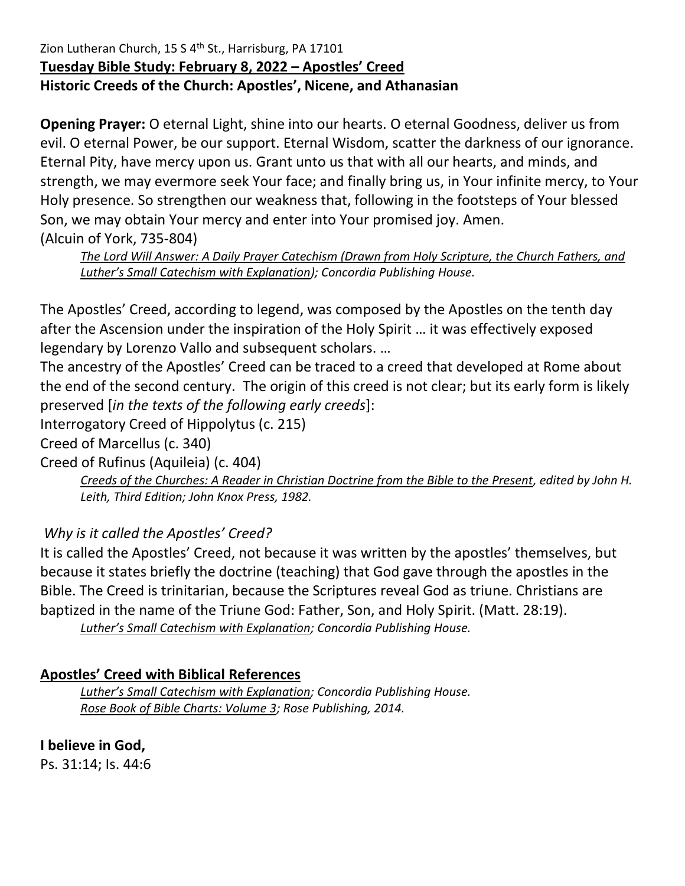### Zion Lutheran Church, 15 S 4<sup>th</sup> St., Harrisburg, PA 17101 **Tuesday Bible Study: February 8, 2022 – Apostles' Creed Historic Creeds of the Church: Apostles', Nicene, and Athanasian**

**Opening Prayer:** O eternal Light, shine into our hearts. O eternal Goodness, deliver us from evil. O eternal Power, be our support. Eternal Wisdom, scatter the darkness of our ignorance. Eternal Pity, have mercy upon us. Grant unto us that with all our hearts, and minds, and strength, we may evermore seek Your face; and finally bring us, in Your infinite mercy, to Your Holy presence. So strengthen our weakness that, following in the footsteps of Your blessed Son, we may obtain Your mercy and enter into Your promised joy. Amen. (Alcuin of York, 735-804)

*The Lord Will Answer: A Daily Prayer Catechism (Drawn from Holy Scripture, the Church Fathers, and Luther's Small Catechism with Explanation); Concordia Publishing House.* 

The Apostles' Creed, according to legend, was composed by the Apostles on the tenth day after the Ascension under the inspiration of the Holy Spirit … it was effectively exposed legendary by Lorenzo Vallo and subsequent scholars. …

The ancestry of the Apostles' Creed can be traced to a creed that developed at Rome about the end of the second century. The origin of this creed is not clear; but its early form is likely preserved [*in the texts of the following early creeds*]:

Interrogatory Creed of Hippolytus (c. 215)

Creed of Marcellus (c. 340)

Creed of Rufinus (Aquileia) (c. 404)

*Creeds of the Churches: A Reader in Christian Doctrine from the Bible to the Present, edited by John H. Leith, Third Edition; John Knox Press, 1982.*

# *Why is it called the Apostles' Creed?*

It is called the Apostles' Creed, not because it was written by the apostles' themselves, but because it states briefly the doctrine (teaching) that God gave through the apostles in the Bible. The Creed is trinitarian, because the Scriptures reveal God as triune. Christians are baptized in the name of the Triune God: Father, Son, and Holy Spirit. (Matt. 28:19). *Luther's Small Catechism with Explanation; Concordia Publishing House.*

## **Apostles' Creed with Biblical References**

*Luther's Small Catechism with Explanation; Concordia Publishing House. Rose Book of Bible Charts: Volume 3; Rose Publishing, 2014.*

**I believe in God,** 

Ps. 31:14; Is. 44:6